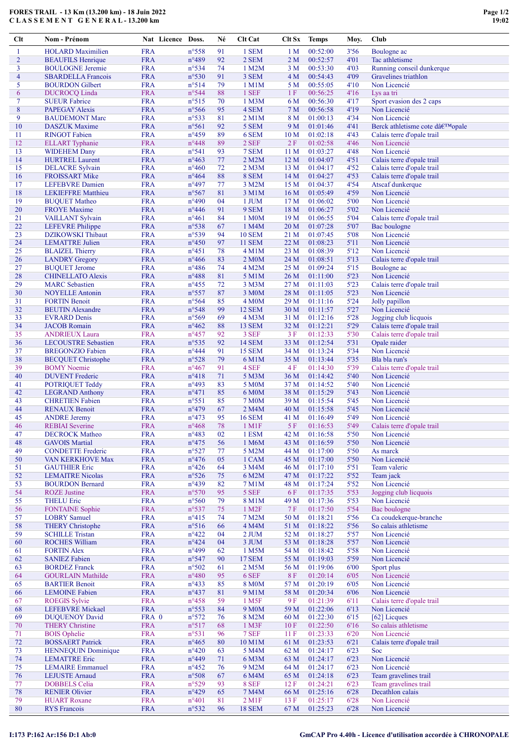Clt Nom - Prénom Nat Licence Doss. Né Clt Cat Clt Sx Temps Moy. Club

| 1              | <b>HOLARD</b> Maximilien                             | <b>FRA</b>               | $n^{\circ}558$                   | 91       | 1 SEM                       | 1 <sub>M</sub>         | 00:52:00             | 3'56           | Boulogne ac                                    |
|----------------|------------------------------------------------------|--------------------------|----------------------------------|----------|-----------------------------|------------------------|----------------------|----------------|------------------------------------------------|
| $\overline{c}$ | <b>BEAUFILS Henrique</b>                             | <b>FRA</b>               | $n^{\circ}489$                   | 92       | 2 SEM                       | 2 M                    | 00:52:57             | 4'01           | Tac athletisme                                 |
| 3              | <b>BOULOGNE</b> Jeremie                              | <b>FRA</b>               | n°534                            | 74       | 1 M2M                       | 3 M                    | 00:53:30             | 4'03           | Running conseil dunkerque                      |
| 4<br>5         | <b>SBARDELLA</b> Francois                            | <b>FRA</b><br><b>FRA</b> | $n^{\circ}530$<br>n°514          | 91<br>79 | 3 SEM                       | 4 <sub>M</sub>         | 00:54:43             | 4'09<br>4'10   | Gravelines triathlon<br>Non Licencié           |
| 6              | <b>BOURDON</b> Gilbert<br><b>DUCROCQ Linda</b>       | <b>FRA</b>               | n°544                            | 88       | 1 M1M<br>1 SEF              | 5 M<br>1 F             | 00:55:05<br>00:56:25 | 4'16           | Lys aa tri                                     |
| 7              | <b>SUEUR Fabrice</b>                                 | <b>FRA</b>               | $n^{\circ}515$                   | 70       | 1 M3M                       | 6 M                    | 00:56:30             | 4'17           | Sport evasion des 2 caps                       |
| 8              | <b>PAPEGAY Alexis</b>                                | <b>FRA</b>               | $n^{\circ}$ 566                  | 95       | 4 SEM                       | 7 <sub>M</sub>         | 00:56:58             | 4'19           | Non Licencié                                   |
| 9              | <b>BAUDEMONT Marc</b>                                | <b>FRA</b>               | n°533                            | 81       | 2 M1M                       | 8 M                    | 01:00:13             | 4'34           | Non Licencié                                   |
| 10             | <b>DASZUK</b> Maxime                                 | <b>FRA</b>               | $n^{\circ}561$                   | 92       | 5 SEM                       | 9 M                    | 01:01:46             | 4'41           | Berck athletisme cote d'opale                  |
| 11             | <b>RINGOT Fabien</b>                                 | <b>FRA</b>               | n°459                            | 89       | 6 SEM                       | 10 <sub>M</sub>        | 01:02:18             | 4'43           | Calais terre d'opale trail                     |
| 12             | <b>ELLART</b> Typhanie                               | <b>FRA</b>               | $n^{\circ}448$                   | 89       | 2 SEF                       | 2F                     | 01:02:58             | 4'46           | Non Licencié                                   |
| 13             | <b>WIDEHEM Dany</b>                                  | <b>FRA</b>               | $n^{\circ}541$                   | 93       | 7 SEM                       | 11 <sub>M</sub>        | 01:03:27             | 4'48           | Non Licencié                                   |
| 14             | <b>HURTREL Laurent</b>                               | <b>FRA</b>               | $n^{\circ}463$                   | 77       | 2 M2M                       | 12 <sub>M</sub>        | 01:04:07             | 4'51           | Calais terre d'opale trail                     |
| 15<br>16       | <b>DELACRE</b> Sylvain                               | <b>FRA</b><br><b>FRA</b> | $n^{\circ}460$<br>$n^{\circ}464$ | 72<br>88 | $2$ M $3$ M<br>8 SEM        | 13 M                   | 01:04:17<br>01:04:27 | 4'52<br>4'53   | Calais terre d'opale trail                     |
| 17             | <b>FROISSART Mike</b><br><b>LEFEBVRE</b> Damien      | <b>FRA</b>               | $n^{\circ}497$                   | 77       | 3 M2M                       | 14M<br>15 <sub>M</sub> | 01:04:37             | 4'54           | Calais terre d'opale trail<br>Atscaf dunkerque |
| 18             | <b>LEKIEFFRE</b> Matthieu                            | <b>FRA</b>               | n°567                            | 81       | 3 M1M                       | 16 <sub>M</sub>        | 01:05:49             | 4'59           | Non Licencié                                   |
| 19             | <b>BUQUET Matheo</b>                                 | <b>FRA</b>               | $n^{\circ}490$                   | 04       | 1 JUM                       | 17 <sub>M</sub>        | 01:06:02             | 5'00           | Non Licencié                                   |
| 20             | <b>FROYE</b> Maxime                                  | <b>FRA</b>               | $n^{\circ}446$                   | 91       | 9 SEM                       | 18 M                   | 01:06:27             | 5'02           | Non Licencié                                   |
| 21             | VAILLANT Sylvain                                     | <b>FRA</b>               | $n^{\circ}461$                   | 84       | 1 M <sub>0</sub> M          | 19 <sub>M</sub>        | 01:06:55             | 5'04           | Calais terre d'opale trail                     |
| 22             | <b>LEFEVRE</b> Philippe                              | <b>FRA</b>               | n°538                            | 67       | 1 M4M                       | 20 <sub>M</sub>        | 01:07:28             | 5'07           | Bac boulogne                                   |
| 23             | <b>DZIKOWSKI</b> Thibaut                             | <b>FRA</b>               | n°539                            | 94       | <b>10 SEM</b>               | 21 M                   | 01:07:45             | 5'08           | Non Licencié                                   |
| 24             | <b>LEMATTRE Julien</b>                               | <b>FRA</b>               | $n^{\circ}450$                   | 97       | <b>11 SEM</b>               | 22 <sub>M</sub>        | 01:08:23             | 5'11           | Non Licencié                                   |
| 25             | <b>BLAIZEL Thierry</b>                               | <b>FRA</b>               | $n^{\circ}451$                   | 78       | $4$ M $1$ M                 | 23 M                   | 01:08:39<br>01:08:51 | 5'12           | Non Licencié                                   |
| 26<br>27       | <b>LANDRY</b> Gregory<br><b>BUQUET Jerome</b>        | <b>FRA</b><br><b>FRA</b> | $n^{\circ}466$<br>$n^{\circ}486$ | 83<br>74 | 2 M <sub>0</sub> M<br>4 M2M | 24 M<br>25 M           | 01:09:24             | 5'13<br>5'15   | Calais terre d'opale trail<br>Boulogne ac      |
| 28             | <b>CHINELLATO Alexis</b>                             | <b>FRA</b>               | $n^{\circ}488$                   | 81       | 5 M1M                       | 26 <sub>M</sub>        | 01:11:00             | 5'23           | Non Licencié                                   |
| 29             | <b>MARC</b> Sebastien                                | <b>FRA</b>               | $n^{\circ}455$                   | 72       | 3 M3M                       | 27 M                   | 01:11:03             | 5'23           | Calais terre d'opale trail                     |
| 30             | <b>NOYELLE Antonin</b>                               | <b>FRA</b>               | $n^{\circ}557$                   | 87       | 3 M <sub>0</sub> M          | 28 M                   | 01:11:05             | 5'23           | Non Licencié                                   |
| 31             | <b>FORTIN Benoit</b>                                 | <b>FRA</b>               | n°564                            | 85       | 4 M <sub>0</sub> M          | 29 M                   | 01:11:16             | 5'24           | Jolly papillon                                 |
| 32             | <b>BEUTIN</b> Alexandre                              | <b>FRA</b>               | n°548                            | 99       | <b>12 SEM</b>               | 30 M                   | 01:11:57             | 5'27           | Non Licencié                                   |
| 33             | <b>EVRARD</b> Denis                                  | <b>FRA</b>               | n°569                            | 69       | 4 M <sub>3</sub> M          | 31 M                   | 01:12:16             | 5'28           | Jogging club licquois                          |
| 34             | <b>JACOB</b> Romain                                  | <b>FRA</b>               | $n^{\circ}462$                   | 88       | <b>13 SEM</b>               | 32 M                   | 01:12:21             | 5'29           | Calais terre d'opale trail                     |
| 35             | <b>ANDRIEUX Laura</b>                                | <b>FRA</b>               | $n^{\circ}457$                   | 92       | 3 SEF                       | 3F                     | 01:12:33             | 5'30           | Calais terre d'opale trail                     |
| 36             | <b>LECOUSTRE</b> Sebastien                           | <b>FRA</b>               | $n^{\circ}535$                   | 92       | <b>14 SEM</b>               | 33 M                   | 01:12:54             | 5'31           | Opale raider                                   |
| 37<br>38       | <b>BREGONZIO</b> Fabien<br><b>BECQUET</b> Christophe | <b>FRA</b><br><b>FRA</b> | $n^{\circ}444$<br>$n^{\circ}528$ | 91<br>79 | <b>15 SEM</b><br>6 M1M      | 34 M<br>35 M           | 01:13:24<br>01:13:44 | 5'34<br>5'35   | Non Licencié<br>Bla bla run's                  |
| 39             | <b>BOMY</b> Noemie                                   | <b>FRA</b>               | $n^{\circ}467$                   | 91       | 4 SEF                       | 4F                     | 01:14:30             | 5'39           | Calais terre d'opale trail                     |
| 40             | <b>DUVENT</b> Frederic                               | <b>FRA</b>               | $n^{\circ}418$                   | 71       | 5 M3M                       | 36 M                   | 01:14:42             | 5'40           | Non Licencié                                   |
| 41             | POTRIQUET Teddy                                      | <b>FRA</b>               | n°493                            | 83       | 5 M <sub>0</sub> M          | 37 M                   | 01:14:52             | 5'40           | Non Licencié                                   |
| 42             | <b>LEGRAND Anthony</b>                               | <b>FRA</b>               | $n^{\circ}471$                   | 85       | 6 M0M                       | 38 M                   | 01:15:29             | 5'43           | Non Licencié                                   |
| 43             | <b>CHRETIEN Fabien</b>                               | <b>FRA</b>               | $n^{\circ}551$                   | 85       | 7 M <sub>0</sub> M          | 39 M                   | 01:15:54             | 5'45           | Non Licencié                                   |
| 44             | <b>RENAUX Benoit</b>                                 | <b>FRA</b>               | n°479                            | 67       | 2 M4M                       | 40 M                   | 01:15:58             | 5'45           | Non Licencié                                   |
| 45             | <b>ANDRE Jeremy</b>                                  | <b>FRA</b>               | $n^{\circ}473$                   | 95       | <b>16 SEM</b>               | 41 M                   | 01:16:49             | 5'49           | Non Licencié                                   |
| 46             | <b>REBIAI</b> Severine                               | <b>FRA</b>               | $n^{\circ}468$                   | 78       | 1 M1F                       | 5F                     | 01:16:53             | 5'49           | Calais terre d'opale trail                     |
| 47             | <b>DECROCK Matheo</b>                                | <b>FRA</b>               | n°483                            | 02       | 1 ESM                       | 42 M                   | 01:16:58             | 5'50           | Non Licencié                                   |
| 48<br>49       | <b>GAVOIS Martial</b><br><b>CONDETTE Frederic</b>    | <b>FRA</b><br><b>FRA</b> | $n^{\circ}475$<br>n°527          | 56<br>77 | 1 M6M<br>5 M2M              | 43 M<br>44 M           | 01:16:59<br>01:17:00 | 5'50<br>5'50   | Non Licencié<br>As marck                       |
| 50             | VAN KERKHOVE Max                                     | <b>FRA</b>               | $n^{\circ}476$                   | 05       | 1 CAM                       | 45 M                   | 01:17:00             | 5'50           | Non Licencié                                   |
| 51             | <b>GAUTHIER Eric</b>                                 | <b>FRA</b>               | $n^{\circ}426$                   | 64       | 3 M4M                       | 46 M                   | 01:17:10             | 5'51           | Team valeric                                   |
| 52             | <b>LEMAITRE Nicolas</b>                              | <b>FRA</b>               | $n^{\circ}526$                   | 75       | 6 M2M                       | 47 M                   | 01:17:22             | 5'52           | Team jack                                      |
| 53             | <b>BOURDON Bernard</b>                               | <b>FRA</b>               | $n^{\circ}439$                   | 82       | 7 M1M                       | 48 M                   | 01:17:24             | 5'52           | Non Licencié                                   |
| 54             | <b>ROZE</b> Justine                                  | <b>FRA</b>               | $n^{\circ}570$                   | 95       | 5 SEF                       | 6F                     | 01:17:35             | 5'53           | Jogging club licquois                          |
| 55             | <b>THELU Eric</b>                                    | <b>FRA</b>               | $n^{\circ}560$                   | 79       | 8 M1M                       | 49 M                   | 01:17:36             | 5'53           | Non Licencié                                   |
| 56             | <b>FONTAINE Sophie</b>                               | <b>FRA</b>               | $n^{\circ}537$                   | 75       | 1 M <sub>2</sub> F          | <b>7F</b>              | 01:17:50             | 5'54           | Bac boulogne                                   |
| 57             | <b>LOBRY</b> Samuel                                  | <b>FRA</b>               | $n^{\circ}415$                   | 74       | 7 M2M                       | 50 M                   | 01:18:21             | 5'56           | Ca coudekerque-branche                         |
| 58             | <b>THERY Christophe</b>                              | <b>FRA</b>               | $n^{\circ}516$                   | 66       | 4 M4M                       | 51 M                   | 01:18:22             | 5'56           | So calais athletisme                           |
| 59<br>60       | <b>SCHILLE Tristan</b><br><b>ROCHES William</b>      | <b>FRA</b><br><b>FRA</b> | $n^{\circ}422$<br>$n^{\circ}424$ | 04<br>04 | $2$ JUM<br>$3$ JUM          | 52 M<br>53 M           | 01:18:27<br>01:18:28 | 5'57<br>$5'57$ | Non Licencié<br>Non Licencié                   |
| 61             | <b>FORTIN Alex</b>                                   | <b>FRA</b>               | n°499                            | 62       | 1 M5M                       | 54 M                   | 01:18:42             | 5'58           | Non Licencié                                   |
| 62             | <b>SANIEZ Fabien</b>                                 | <b>FRA</b>               | n°547                            | 90       | <b>17 SEM</b>               | 55 M                   | 01:19:03             | 5'59           | Non Licencié                                   |
| 63             | <b>BORDEZ Franck</b>                                 | <b>FRA</b>               | $n^{\circ}502$                   | 61       | 2 M5M                       | 56 M                   | 01:19:06             | 6'00           | Sport plus                                     |
| 64             | <b>GOURLAIN Mathilde</b>                             | <b>FRA</b>               | $n^{\circ}480$                   | 95       | 6 SEF                       | 8F                     | 01:20:14             | 6'05           | Non Licencié                                   |
| 65             | <b>BARTIER Benoit</b>                                | <b>FRA</b>               | $n^{\circ}433$                   | 85       | <b>8 M0M</b>                | 57 M                   | 01:20:19             | 6'05           | Non Licencié                                   |
| 66             | <b>LEMOINE Fabien</b>                                | <b>FRA</b>               | $n^{\circ}437$                   | 81       | 9 M1M                       | 58 M                   | 01:20:34             | 6'06           | Non Licencié                                   |
| 67             | <b>ROEGIS Sylvie</b>                                 | <b>FRA</b>               | $n^{\circ}458$                   | 59       | 1 M <sub>5F</sub>           | 9F                     | 01:21:39             | 6'11           | Calais terre d'opale trail                     |
| 68             | LEFEBVRE Mickael                                     | <b>FRA</b>               | $n^{\circ}$ 553                  | 84       | 9 M <sub>0</sub> M          | 59 M                   | 01:22:06             | 6'13           | Non Licencié                                   |
| 69             | <b>DUQUENOY David</b>                                | FRA 0                    | $n^{\circ}572$                   | 76       | 8 M2M                       | 60 M                   | 01:22:30             | 6'15           | [62] Licques                                   |
| 70             | <b>THERY Christine</b><br><b>BOIS</b> Ophelie        | <b>FRA</b><br><b>FRA</b> | n°517<br>n°531                   | 68       | 1 M3F<br>7 SEF              | 10F                    | 01:22:50<br>01:23:33 | 6'16           | So calais athletisme<br>Non Licencié           |
| 71<br>72       | <b>BOSSAERT Patrick</b>                              | <b>FRA</b>               | $n^{\circ}465$                   | 96<br>80 | 10 M1M                      | 11F<br>61 M            | 01:23:53             | 6'20<br>6'21   | Calais terre d'opale trail                     |
| 73             | <b>HENNEQUIN Dominique</b>                           | <b>FRA</b>               | $n^{\circ}420$                   | 63       | 5 M4M                       | 62 M                   | 01:24:17             | 6'23           | Soc                                            |
| 74             | <b>LEMATTRE Eric</b>                                 | <b>FRA</b>               | $n^{\circ}449$                   | 71       | 6 M3M                       | 63 M                   | 01:24:17             | 6'23           | Non Licencié                                   |
| 75             | <b>LEMAIRE</b> Emmanuel                              | <b>FRA</b>               | $n^{\circ}452$                   | 76       | 9 M2M                       | 64 M                   | 01:24:17             | 6'23           | Non Licencié                                   |
| 76             | <b>LEJUSTE Arnaud</b>                                | <b>FRA</b>               | $n^{\circ}508$                   | 67       | 6 M4M                       | 65 M                   | 01:24:18             | 6'23           | Team gravelines trail                          |
| 77             | <b>DOBBELS</b> Celia                                 | <b>FRA</b>               | n°529                            | 93       | 8 SEF                       | 12F                    | 01:24:21             | 6'23           | Team gravelines trail                          |
| 78             | <b>RENIER Olivier</b>                                | <b>FRA</b>               | $n^{\circ}429$                   | 65       | 7 M4M                       | 66 M                   | 01:25:16             | 6'28           | Decathlon calais                               |
| 79             | <b>HUART Roxane</b>                                  | <b>FRA</b>               | $n^{\circ}401$                   | 81       | $2$ M $1$ F                 | 13F                    | 01:25:17             | 6'28           | Non Licencié                                   |
| 80             | <b>RYS</b> Francois                                  | <b>FRA</b>               | $n^{\circ}532$                   | 96       | <b>18 SEM</b>               | 67 M                   | 01:25:23             | 6'28           | Non Licencié                                   |